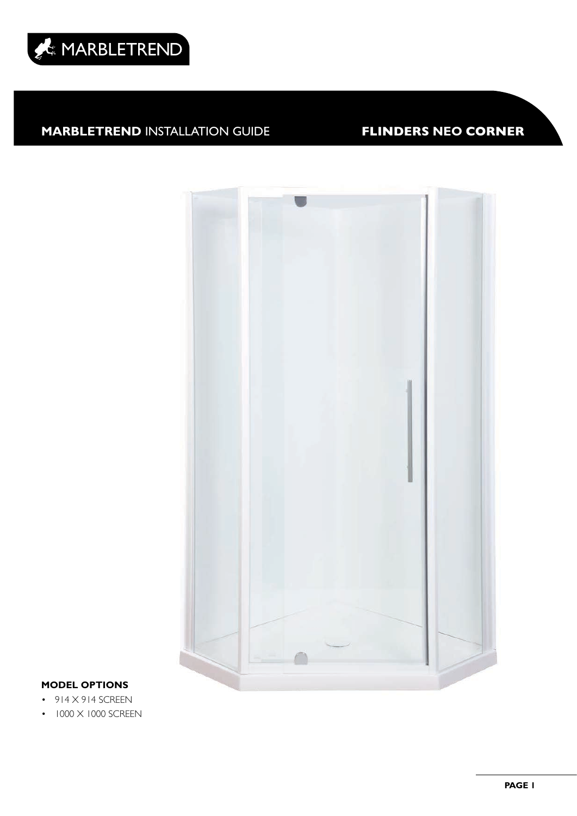



### **MODEL OPTIONS**

- $\cdot$  914  $\times$  914 SCREEN
- $\cdot$  1000  $\times$  1000 SCREEN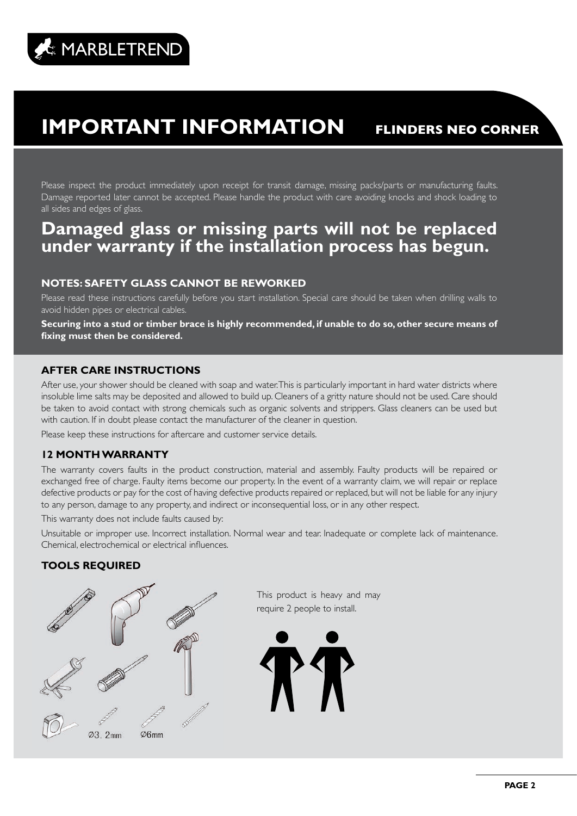# **IMPORTANT INFORMATION FLINDERS NEO CORNER**

Please inspect the product immediately upon receipt for transit damage, missing packs/parts or manufacturing faults. Damage reported later cannot be accepted. Please handle the product with care avoiding knocks and shock loading to all sides and edges of glass.

# **Damaged glass or missing parts will not be replaced under warranty if the installation process has begun.**

### **NOTES: SAFETY GLASS CANNOT BE REWORKED**

Please read these instructions carefully before you start installation. Special care should be taken when drilling walls to avoid hidden pipes or electrical cables.

**Securing into a stud or timber brace is highly recommended, if unable to do so, other secure means of fixing must then be considered.**

### **AFTER CARE INSTRUCTIONS**

After use, your shower should be cleaned with soap and water. This is particularly important in hard water districts where insoluble lime salts may be deposited and allowed to build up. Cleaners of a gritty nature should not be used. Care should be taken to avoid contact with strong chemicals such as organic solvents and strippers. Glass cleaners can be used but with caution. If in doubt please contact the manufacturer of the cleaner in question.

Please keep these instructions for aftercare and customer service details.

### **12 MONTH WARRANTY**

The warranty covers faults in the product construction, material and assembly. Faulty products will be repaired or exchanged free of charge. Faulty items become our property. In the event of a warranty claim, we will repair or replace defective products or pay for the cost of having defective products repaired or replaced, but will not be liable for any injury to any person, damage to any property, and indirect or inconsequential loss, or in any other respect.

This warranty does not include faults caused by:

Unsuitable or improper use. Incorrect installation. Normal wear and tear. Inadequate or complete lack of maintenance. Chemical, electrochemical or electrical influences.

### **TOOLS REQUIRED**



This product is heavy and may require 2 people to install.

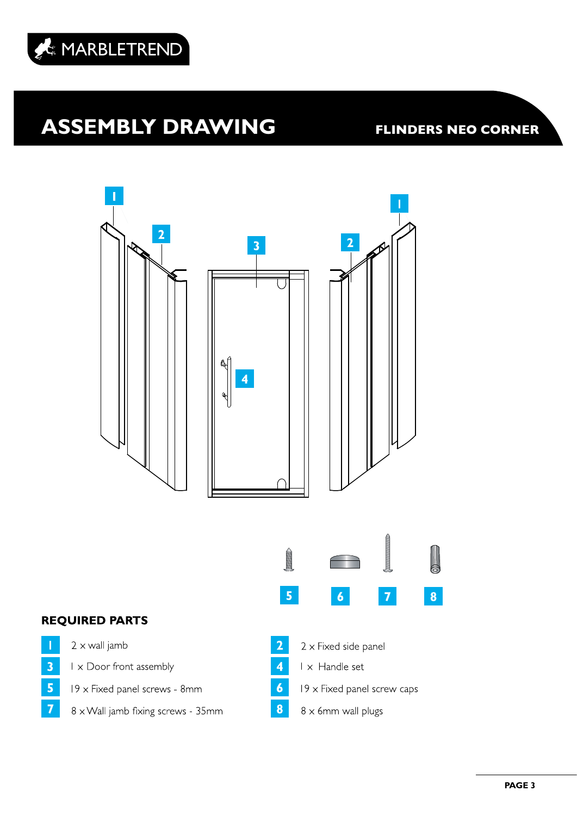

# **ASSEMBLY DRAWING FLINDERS NEO CORNER**



8 x Wall jamb fixing screws - 35mm

 $\overline{\phantom{a}}$ 

 $\overline{\mathbf{3}}$ 

 $\overline{\mathbf{5}}$ 

 $\overline{7}$ 

**PAGE 3**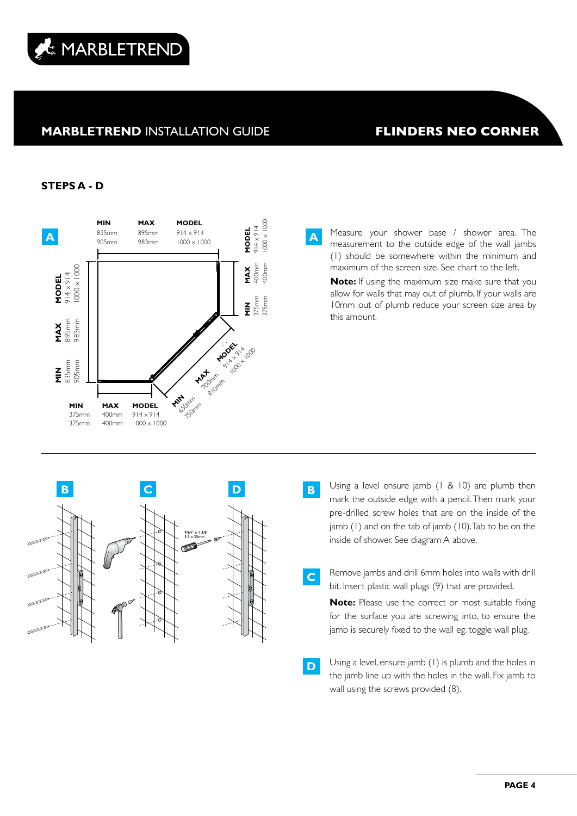

#### **STEPS A - D**



measurement to the outside edge of the wall jambs (1) should be somewhere within the minimum and maximum of the screen size. See chart to the left.

**Note:** If using the maximum size make sure that you allow for walls that may out of plumb. If your walls are 10mm out of plumb reduce your screen size area by this amount.



- Using a level ensure jamb  $(1 \& 10)$  are plumb then mark the outside edge with a pencil. Then mark your pre-drilled screw holes that are on the inside of the jamb  $(1)$  and on the tab of jamb  $(10)$ . Tab to be on the inside of shower. See diagram A above.
- Remove jambs and drill 6mm holes into walls with drill bit. Insert plastic wall plugs (9) that are provided.

**C**

**Note:** Please use the correct or most suitable fixing for the surface you are screwing into, to ensure the jamb is securely fixed to the wall eg. toggle wall plug.

**D** Using a level, ensure jamb (1) is plumb and the holes in the jamb line up with the holes in the wall. Fix jamb to wall using the screws provided (8).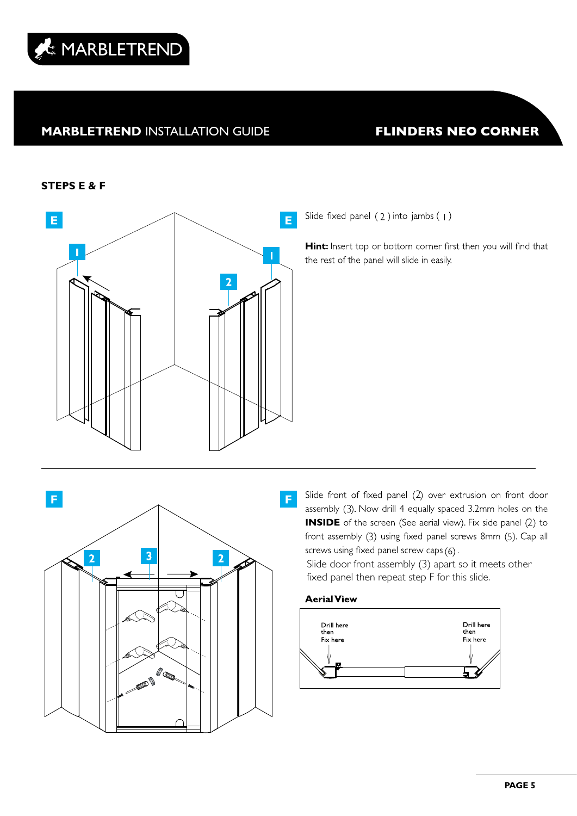

#### **STEPS E & F**



Slide fixed panel (2) into jambs (1)

Hint: Insert top or bottom corner first then you will find that the rest of the panel will slide in easily.

F F. 3  $\overline{2}$  $\overline{2}$ 10

Slide front of fixed panel (2) over extrusion on front door assembly (3). Now drill 4 equally spaced 3.2mm holes on the **INSIDE** of the screen (See aerial view). Fix side panel (2) to 3 5screws using fixed panel screw caps (6).

Slide door front assembly (3) apart so it meets other fixed panel then repeat step F for this slide.



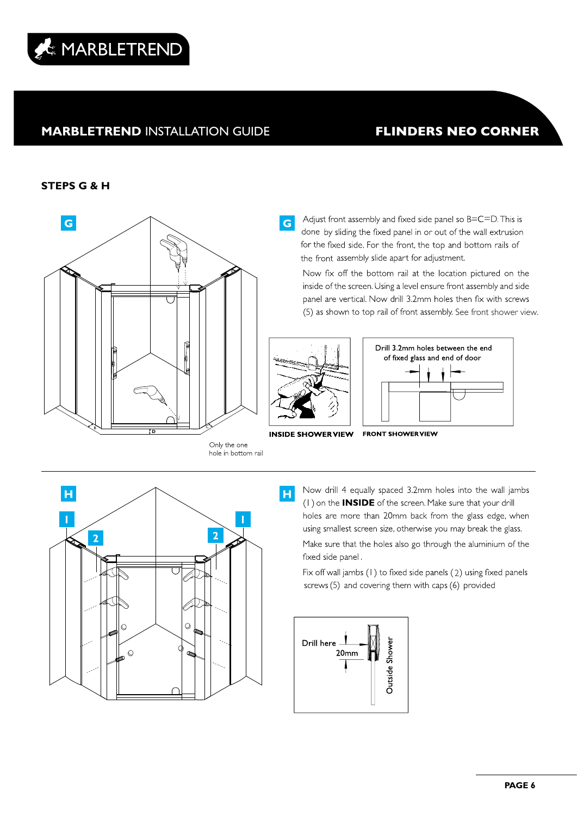

### **STEPS G & H**



Adjust front assembly and fixed side panel so B=C=D. This is done by sliding the fixed panel in or out of the wall extrusion for the fixed side. For the front, the top and bottom rails of the front assembly slide apart for adjustment.

Now fix off the bottom rail at the location pictured on the inside of the screen. Using a level ensure front assembly and side panel are vertical. Now drill 3.2mm holes then fix with screws (5) as shown to top rail of front assembly. See front shower view.



 $\overline{G}$ 



**INSIDE SHOWER VIEW FRONT SHOWER VIEW** 

Only the one hole in bottom rail



Now drill 4 equally spaced 3.2mm holes into the wall jambs (1) on the **INSIDE** of the screen. Make sure that your drill holes are more than 20mm back from the glass edge, when using smallest screen size, otherwise you may break the glass.

Make sure that the holes also go through the aluminium of the fixed side panel.

Fix off wall jambs (1) to fixed side panels (2) using fixed panels screws (5) and covering them with caps (6) provided

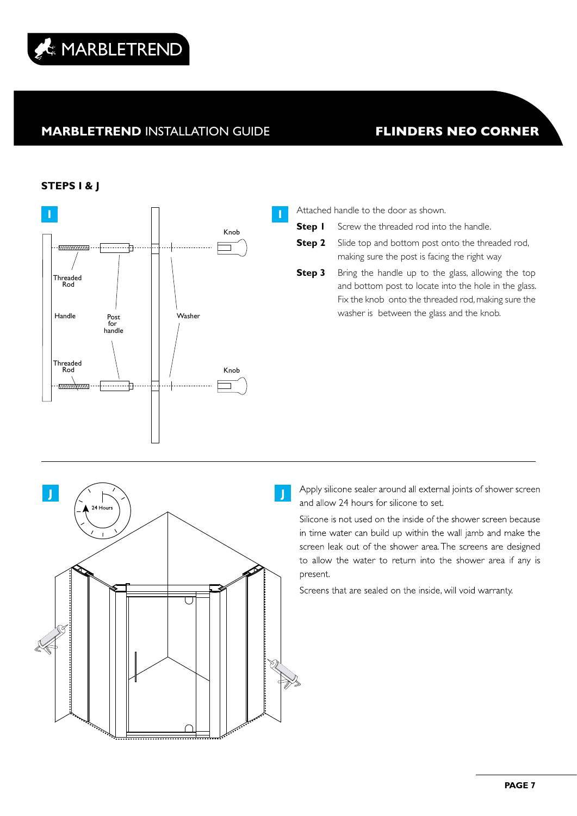

### **STEPS I & J**



**Step I** Screw the threaded rod into the handle.

**Step 2** Slide top and bottom post onto the threaded rod, making sure the post is facing the right way

**Step 3** Bring the handle up to the glass, allowing the top and bottom post to locate into the hole in the glass. Fix the knob onto the threaded rod, making sure the washer is between the glass and the knob.

Apply silicone sealer around all external joints of shower screen and allow 24 hours for silicone to set.

Silicone is not used on the inside of the shower screen because in time water can build up within the wall jamb and make the screen leak out of the shower area. The screens are designed to allow the water to return into the shower area if any is present.

Screens that are sealed on the inside, will void warranty.